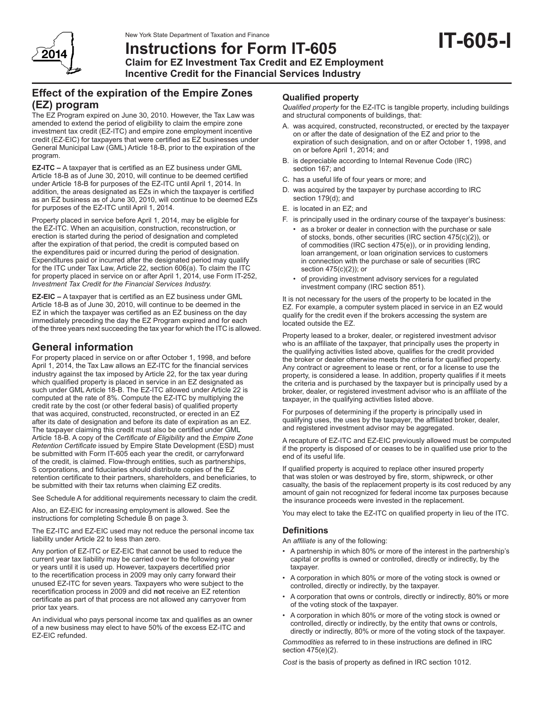

# **Instructions for Form IT-605 Claim for EZ Investment Tax Credit and EZ Employment Incentive Credit for the Financial Services Industry**

## **Effect of the expiration of the Empire Zones (EZ) program**

The EZ Program expired on June 30, 2010. However, the Tax Law was amended to extend the period of eligibility to claim the empire zone investment tax credit (EZ-ITC) and empire zone employment incentive credit (EZ-EIC) for taxpayers that were certified as EZ businesses under General Municipal Law (GML) Article 18-B, prior to the expiration of the program.

**EZ-ITC –** A taxpayer that is certified as an EZ business under GML Article 18-B as of June 30, 2010, will continue to be deemed certified under Article 18-B for purposes of the EZ-ITC until April 1, 2014. In addition, the areas designated as EZs in which the taxpayer is certified as an EZ business as of June 30, 2010, will continue to be deemed EZs for purposes of the EZ-ITC until April 1, 2014.

Property placed in service before April 1, 2014, may be eligible for the EZ-ITC. When an acquisition, construction, reconstruction, or erection is started during the period of designation and completed after the expiration of that period, the credit is computed based on the expenditures paid or incurred during the period of designation. Expenditures paid or incurred after the designated period may qualify for the ITC under Tax Law, Article 22, section 606(a). To claim the ITC for property placed in service on or after April 1, 2014, use Form IT-252, *Investment Tax Credit for the Financial Services Industry.*

**EZ-EIC –** A taxpayer that is certified as an EZ business under GML Article 18-B as of June 30, 2010, will continue to be deemed in the EZ in which the taxpayer was certified as an EZ business on the day immediately preceding the day the EZ Program expired and for each of the three years next succeeding the tax year for which the ITC is allowed.

## **General information**

For property placed in service on or after October 1, 1998, and before April 1, 2014, the Tax Law allows an EZ-ITC for the financial services industry against the tax imposed by Article 22, for the tax year during which qualified property is placed in service in an EZ designated as such under GML Article 18-B. The EZ-ITC allowed under Article 22 is computed at the rate of 8%. Compute the EZ-ITC by multiplying the credit rate by the cost (or other federal basis) of qualified property that was acquired, constructed, reconstructed, or erected in an EZ after its date of designation and before its date of expiration as an EZ. The taxpayer claiming this credit must also be certified under GML Article 18-B. A copy of the *Certificate of Eligibility* and the *Empire Zone Retention Certificate* issued by Empire State Development (ESD) must be submitted with Form IT-605 each year the credit, or carryforward of the credit, is claimed. Flow-through entities, such as partnerships, S corporations, and fiduciaries should distribute copies of the EZ retention certificate to their partners, shareholders, and beneficiaries, to be submitted with their tax returns when claiming EZ credits.

See Schedule A for additional requirements necessary to claim the credit.

Also, an EZ-EIC for increasing employment is allowed. See the instructions for completing Schedule B on page 3.

The EZ-ITC and EZ-EIC used may not reduce the personal income tax liability under Article 22 to less than zero.

Any portion of EZ-ITC or EZ-EIC that cannot be used to reduce the current year tax liability may be carried over to the following year or years until it is used up. However, taxpayers decertified prior to the recertification process in 2009 may only carry forward their unused EZ-ITC for seven years. Taxpayers who were subject to the recertification process in 2009 and did **not** receive an EZ retention certificate as part of that process are not allowed any carryover from prior tax years.

An individual who pays personal income tax and qualifies as an owner of a new business may elect to have 50% of the excess EZ-ITC and EZ-EIC refunded.

## **Qualified property**

*Qualified property* for the EZ-ITC is tangible property, including buildings and structural components of buildings, that:

**IT-605-I**

- A. was acquired, constructed, reconstructed, or erected by the taxpayer on or after the date of designation of the EZ and prior to the expiration of such designation, and on or after October 1, 1998, and on or before April 1, 2014; and
- B. is depreciable according to Internal Revenue Code (IRC) section 167; and
- C. has a useful life of four years or more; and
- D. was acquired by the taxpayer by purchase according to IRC section 179(d); and
- E. is located in an EZ; and
- F. is principally used in the ordinary course of the taxpayer's business:
	- as a broker or dealer in connection with the purchase or sale of stocks, bonds, other securities (IRC section 475(c)(2)), or of commodities (IRC section 475(e)), or in providing lending, loan arrangement, or loan origination services to customers in connection with the purchase or sale of securities (IRC section 475(c)(2)); or
	- of providing investment advisory services for a regulated investment company (IRC section 851).

It is not necessary for the users of the property to be located in the EZ. For example, a computer system placed in service in an EZ would qualify for the credit even if the brokers accessing the system are located outside the EZ.

Property leased to a broker, dealer, or registered investment advisor who is an affiliate of the taxpayer, that principally uses the property in the qualifying activities listed above, qualifies for the credit provided the broker or dealer otherwise meets the criteria for qualified property. Any contract or agreement to lease or rent, or for a license to use the property, is considered a lease. In addition, property qualifies if it meets the criteria and is purchased by the taxpayer but is principally used by a broker, dealer, or registered investment advisor who is an affiliate of the taxpayer, in the qualifying activities listed above.

For purposes of determining if the property is principally used in qualifying uses, the uses by the taxpayer, the affiliated broker, dealer, and registered investment advisor may be aggregated.

A recapture of EZ-ITC and EZ-EIC previously allowed must be computed if the property is disposed of or ceases to be in qualified use prior to the end of its useful life.

If qualified property is acquired to replace other insured property that was stolen or was destroyed by fire, storm, shipwreck, or other casualty, the basis of the replacement property is its cost reduced by any amount of gain not recognized for federal income tax purposes because the insurance proceeds were invested in the replacement.

You may elect to take the EZ-ITC on qualified property in lieu of the ITC.

## **Definitions**

An *affiliate* is any of the following:

- A partnership in which 80% or more of the interest in the partnership's capital or profits is owned or controlled, directly or indirectly, by the taxpayer.
- A corporation in which 80% or more of the voting stock is owned or controlled, directly or indirectly, by the taxpayer.
- A corporation that owns or controls, directly or indirectly, 80% or more of the voting stock of the taxpayer.
- A corporation in which 80% or more of the voting stock is owned or controlled, directly or indirectly, by the entity that owns or controls, directly or indirectly, 80% or more of the voting stock of the taxpayer.

*Commodities* as referred to in these instructions are defined in IRC section 475(e)(2).

*Cost* is the basis of property as defined in IRC section 1012.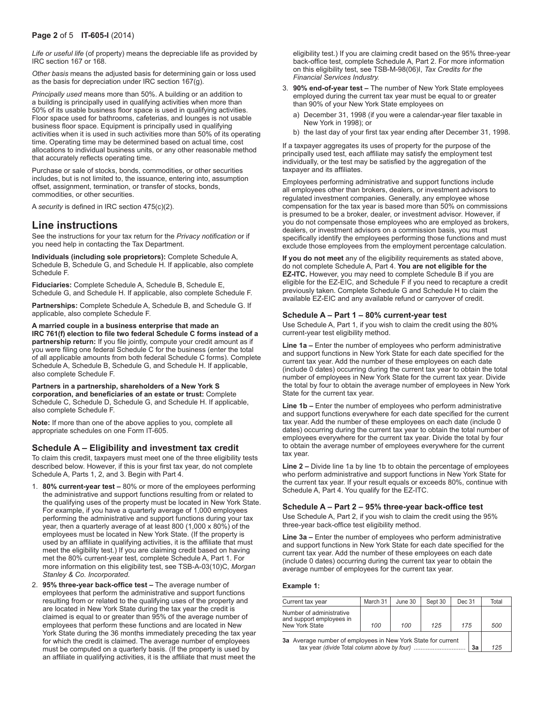*Life or useful life* (of property) means the depreciable life as provided by IRC section 167 or 168.

*Other basis* means the adjusted basis for determining gain or loss used as the basis for depreciation under IRC section 167(g).

*Principally used* means more than 50%. A building or an addition to a building is principally used in qualifying activities when more than 50% of its usable business floor space is used in qualifying activities. Floor space used for bathrooms, cafeterias, and lounges is not usable business floor space. Equipment is principally used in qualifying activities when it is used in such activities more than 50% of its operating time. Operating time may be determined based on actual time, cost allocations to individual business units, or any other reasonable method that accurately reflects operating time.

Purchase or sale of stocks, bonds, commodities, or other securities includes, but is not limited to, the issuance, entering into, assumption offset, assignment, termination, or transfer of stocks, bonds, commodities, or other securities.

A *security* is defined in IRC section 475(c)(2).

## **Line instructions**

See the instructions for your tax return for the *Privacy notification* or if you need help in contacting the Tax Department.

**Individuals (including sole proprietors):** Complete Schedule A, Schedule B, Schedule G, and Schedule H. If applicable, also complete Schedule F.

**Fiduciaries:** Complete Schedule A, Schedule B, Schedule E, Schedule G, and Schedule H. If applicable, also complete Schedule F.

**Partnerships:** Complete Schedule A, Schedule B, and Schedule G. If applicable, also complete Schedule F.

**A married couple in a business enterprise that made an IRC 761(f) election to file two federal Schedule C forms instead of a partnership return:** If you file jointly, compute your credit amount as if you were filing one federal Schedule C for the business (enter the total of all applicable amounts from both federal Schedule C forms). Complete Schedule A, Schedule B, Schedule G, and Schedule H. If applicable, also complete Schedule F.

**Partners in a partnership, shareholders of a New York S corporation, and beneficiaries of an estate or trust:** Complete Schedule C, Schedule D, Schedule G, and Schedule H. If applicable, also complete Schedule F.

**Note:** If more than one of the above applies to you, complete all appropriate schedules on one Form IT-605.

## **Schedule A – Eligibility and investment tax credit**

To claim this credit, taxpayers must meet one of the three eligibility tests described below. However, if this is your first tax year, do not complete Schedule A, Parts 1, 2, and 3. Begin with Part 4.

- 80% current-year test 80% or more of the employees performing the administrative and support functions resulting from or related to the qualifying uses of the property must be located in New York State. For example, if you have a quarterly average of 1,000 employees performing the administrative and support functions during your tax year, then a quarterly average of at least 800 (1,000 x 80%) of the employees must be located in New York State. (If the property is used by an affiliate in qualifying activities, it is the affiliate that must meet the eligibility test.) If you are claiming credit based on having met the 80% current-year test, complete Schedule A, Part 1. For more information on this eligibility test, see TSB-A-03(10)C, *Morgan Stanley & Co. Incorporated.*
- 2. **95% three-year back-office test –** The average number of employees that perform the administrative and support functions resulting from or related to the qualifying uses of the property and are located in New York State during the tax year the credit is claimed is equal to or greater than 95% of the average number of employees that perform these functions and are located in New York State during the 36 months immediately preceding the tax year for which the credit is claimed. The average number of employees must be computed on a quarterly basis. (If the property is used by an affiliate in qualifying activities, it is the affiliate that must meet the

eligibility test.) If you are claiming credit based on the 95% three-year back-office test, complete Schedule A, Part 2. For more information on this eligibility test, see TSB-M-98(06)I, *Tax Credits for the Financial Services Industry.*

- 3. **90% end-of-year test** The number of New York State employees employed during the current tax year must be equal to or greater than 90% of your New York State employees on
	- a) December 31, 1998 (if you were a calendar-year filer taxable in New York in 1998); or
	- b) the last day of your first tax year ending after December 31, 1998.

If a taxpayer aggregates its uses of property for the purpose of the principally used test, each affiliate may satisfy the employment test individually, or the test may be satisfied by the aggregation of the taxpayer and its affiliates.

Employees performing administrative and support functions include all employees other than brokers, dealers, or investment advisors to regulated investment companies. Generally, any employee whose compensation for the tax year is based more than 50% on commissions is presumed to be a broker, dealer, or investment advisor. However, if you do not compensate those employees who are employed as brokers, dealers, or investment advisors on a commission basis, you must specifically identify the employees performing those functions and must exclude those employees from the employment percentage calculation.

**If you do not meet** any of the eligibility requirements as stated above, do not complete Schedule A, Part 4. **You are not eligible for the EZ-ITC.** However, you may need to complete Schedule B if you are eligible for the EZ-EIC, and Schedule F if you need to recapture a credit previously taken. Complete Schedule G and Schedule H to claim the available EZ-EIC and any available refund or carryover of credit.

### **Schedule A – Part 1 – 80% current-year test**

Use Schedule A, Part 1, if you wish to claim the credit using the 80% current-year test eligibility method.

**Line 1a –** Enter the number of employees who perform administrative and support functions in New York State for each date specified for the current tax year. Add the number of these employees on each date (include 0 dates) occurring during the current tax year to obtain the total number of employees in New York State for the current tax year. Divide the total by four to obtain the average number of employees in New York State for the current tax year.

**Line 1b –** Enter the number of employees who perform administrative and support functions everywhere for each date specified for the current tax year. Add the number of these employees on each date (include 0 dates) occurring during the current tax year to obtain the total number of employees everywhere for the current tax year. Divide the total by four to obtain the average number of employees everywhere for the current tax year.

**Line 2 –** Divide line 1a by line 1b to obtain the percentage of employees who perform administrative and support functions in New York State for the current tax year. If your result equals or exceeds 80%, continue with Schedule A, Part 4. You qualify for the EZ-ITC.

### **Schedule A – Part 2 – 95% three-year back‑office test**

Use Schedule A, Part 2, if you wish to claim the credit using the 95% three-year back‑office test eligibility method.

**Line 3a –** Enter the number of employees who perform administrative and support functions in New York State for each date specified for the current tax year. Add the number of these employees on each date (include 0 dates) occurring during the current tax year to obtain the average number of employees for the current tax year.

#### **Example 1:**

| Current tax year                                                                                                   | March 31 | June 30 | Sept 30 | Dec 31 |  | Total |
|--------------------------------------------------------------------------------------------------------------------|----------|---------|---------|--------|--|-------|
| Number of administrative<br>and support employees in<br>New York State                                             | 100      | 100     | 125     | 175    |  | 500   |
| 3a Average number of employees in New York State for current<br>tax year (divide Total column above by four)<br>3a |          |         |         |        |  | 125   |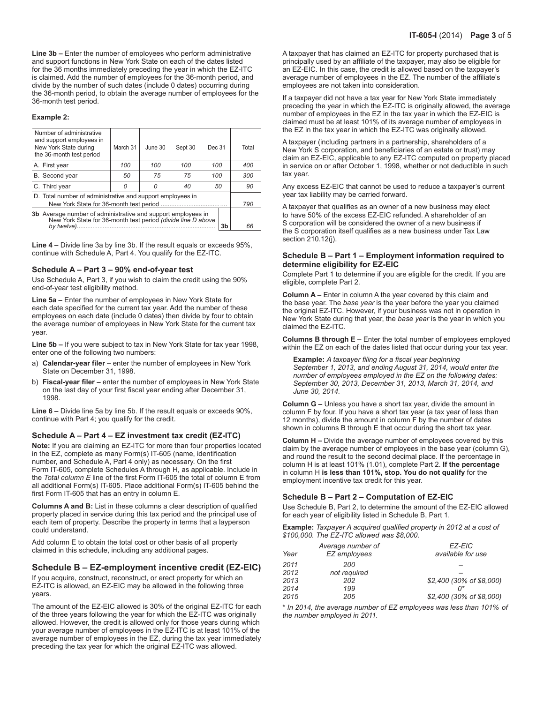**Line 3b –** Enter the number of employees who perform administrative and support functions in New York State on each of the dates listed for the 36 months immediately preceding the year in which the EZ-ITC is claimed. Add the number of employees for the 36-month period, and divide by the number of such dates (include 0 dates) occurring during the 36-month period, to obtain the average number of employees for the 36-month test period.

#### **Example 2:**

| Number of administrative<br>and support employees in<br>New York State during<br>the 36-month test period                                         | March 31 | June 30 | Sept 30 | Dec 31 |     | Total |
|---------------------------------------------------------------------------------------------------------------------------------------------------|----------|---------|---------|--------|-----|-------|
| A. First year                                                                                                                                     | 100      | 100     | 100     | 100    |     | 400   |
| B. Second year                                                                                                                                    | 50       | 75      | 75      | 100    |     | 300   |
| C. Third year                                                                                                                                     | 0        | 0       | 40      | 50     |     | 90    |
| D. Total number of administrative and support employees in                                                                                        |          |         |         |        | 790 |       |
| 3b Average number of administrative and support employees in<br>New York State for 36-month test period (divide line D above<br>3b<br>by twelve). |          |         |         |        | 66  |       |

**Line 4 –** Divide line 3a by line 3b. If the result equals or exceeds 95%, continue with Schedule A, Part 4. You qualify for the EZ-ITC.

## **Schedule A – Part 3 – 90% end-of-year test**

Use Schedule A, Part 3, if you wish to claim the credit using the 90% end-of-year test eligibility method.

**Line 5a –** Enter the number of employees in New York State for each date specified for the current tax year. Add the number of these employees on each date (include 0 dates) then divide by four to obtain the average number of employees in New York State for the current tax year.

**Line 5b –** If you were subject to tax in New York State for tax year 1998, enter one of the following two numbers:

- a) **Calendar-year filer** enter the number of employees in New York State on December 31, 1998.
- b) **Fiscal-year filer** enter the number of employees in New York State on the last day of your first fiscal year ending after December 31, 1998.

**Line 6 –** Divide line 5a by line 5b. If the result equals or exceeds 90%, continue with Part 4; you qualify for the credit.

#### **Schedule A – Part 4 – EZ investment tax credit (EZ-ITC)**

**Note:** If you are claiming an EZ-ITC for more than four properties located in the EZ, complete as many Form(s) IT-605 (name, identification number, and Schedule A, Part 4 only) as necessary. On the first Form IT-605, complete Schedules A through H, as applicable. Include in the *Total column E* line of the first Form IT-605 the total of column E from all additional Form(s) IT-605. Place additional Form(s) IT-605 behind the first Form IT-605 that has an entry in column E.

**Columns A and B:** List in these columns a clear description of qualified property placed in service during this tax period and the principal use of each item of property. Describe the property in terms that a layperson could understand.

Add column E to obtain the total cost or other basis of all property claimed in this schedule, including any additional pages.

#### **Schedule B – EZ-employment incentive credit (EZ-EIC)**

If you acquire, construct, reconstruct, or erect property for which an EZ-ITC is allowed, an EZ-EIC may be allowed in the following three years.

The amount of the EZ-EIC allowed is 30% of the original EZ-ITC for each of the three years following the year for which the EZ-ITC was originally allowed. However, the credit is allowed only for those years during which your average number of employees in the EZ-ITC is at least 101% of the average number of employees in the EZ, during the tax year immediately preceding the tax year for which the original EZ-ITC was allowed.

A taxpayer that has claimed an EZ-ITC for property purchased that is principally used by an affiliate of the taxpayer, may also be eligible for an EZ-EIC. In this case, the credit is allowed based on the taxpayer's average number of employees in the EZ. The number of the affiliate's employees are not taken into consideration.

If a taxpayer did not have a tax year for New York State immediately preceding the year in which the EZ-ITC is originally allowed, the average number of employees in the EZ in the tax year in which the EZ-EIC is claimed must be at least 101% of its average number of employees in the EZ in the tax year in which the EZ-ITC was originally allowed.

A taxpayer (including partners in a partnership, shareholders of a New York S corporation, and beneficiaries of an estate or trust) may claim an EZ-EIC, applicable to any EZ-ITC computed on property placed in service on or after October 1, 1998, whether or not deductible in such tax year.

Any excess EZ-EIC that cannot be used to reduce a taxpayer's current year tax liability may be carried forward.

A taxpayer that qualifies as an owner of a new business may elect to have 50% of the excess EZ-EIC refunded. A shareholder of an S corporation will be considered the owner of a new business if the S corporation itself qualifies as a new business under Tax Law section 210.12(j).

#### **Schedule B – Part 1 – Employment information required to determine eligibility for EZ-EIC**

Complete Part 1 to determine if you are eligible for the credit. If you are eligible, complete Part 2.

**Column A –** Enter in column A the year covered by this claim and the base year. The *base year* is the year before the year you claimed the original EZ-ITC. However, if your business was not in operation in New York State during that year, the *base year* is the year in which you claimed the EZ-ITC.

**Columns B through E –** Enter the total number of employees employed within the EZ on each of the dates listed that occur during your tax year.

**Example:** *A taxpayer filing for a fiscal year beginning September 1, 2013, and ending August 31, 2014, would enter the number of employees employed in the EZ on the following dates: September 30, 2013, December 31, 2013, March 31, 2014, and June 30, 2014.*

**Column G –** Unless you have a short tax year, divide the amount in column F by four. If you have a short tax year (a tax year of less than 12 months), divide the amount in column F by the number of dates shown in columns B through E that occur during the short tax year.

**Column H –** Divide the average number of employees covered by this claim by the average number of employees in the base year (column G), and round the result to the second decimal place. If the percentage in column H is at least 101% (1.01), complete Part 2. **If the percentage**  in column H **is less than 101%, stop. You do not qualify** for the employment incentive tax credit for this year.

#### **Schedule B – Part 2 – Computation of EZ-EIC**

Use Schedule B, Part 2, to determine the amount of the EZ-EIC allowed for each year of eligibility listed in Schedule B, Part 1.

**Example:** *Taxpayer A acquired qualified property in 2012 at a cost of \$100,000. The EZ-ITC allowed was \$8,000.*

| Year | Average number of<br>EZ employees | EZ-EIC<br>available for use |
|------|-----------------------------------|-----------------------------|
| 2011 | 200                               |                             |
| 2012 | not required                      |                             |
| 2013 | 202                               | \$2,400 (30% of \$8,000)    |
| 2014 | 199                               |                             |
| 2015 | 205                               | \$2,400 (30% of \$8,000)    |
|      |                                   |                             |

\* *In 2014, the average number of EZ employees was less than 101% of the number employed in 2011.*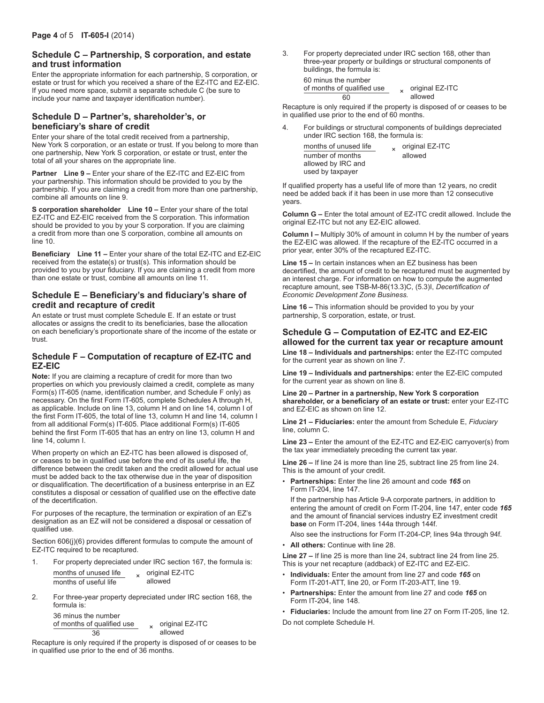## **Schedule C – Partnership, S corporation, and estate and trust information**

Enter the appropriate information for each partnership, S corporation, or estate or trust for which you received a share of the EZ-ITC and EZ-EIC. If you need more space, submit a separate schedule C (be sure to include your name and taxpayer identification number).

## **Schedule D – Partner's, shareholder's, or beneficiary's share of credit**

Enter your share of the total credit received from a partnership, New York S corporation, or an estate or trust. If you belong to more than one partnership, New York S corporation, or estate or trust, enter the total of all your shares on the appropriate line.

**Partner Line 9 –** Enter your share of the EZ-ITC and EZ-EIC from your partnership. This information should be provided to you by the partnership. If you are claiming a credit from more than one partnership, combine all amounts on line 9.

**S corporation shareholder Line 10 –** Enter your share of the total EZ-ITC and EZ-EIC received from the S corporation. This information should be provided to you by your S corporation. If you are claiming a credit from more than one S corporation, combine all amounts on line 10.

**Beneficiary Line 11 –** Enter your share of the total EZ-ITC and EZ-EIC received from the estate(s) or trust(s). This information should be provided to you by your fiduciary. If you are claiming a credit from more than one estate or trust, combine all amounts on line 11.

## **Schedule E – Beneficiary's and fiduciary's share of credit and recapture of credit**

An estate or trust must complete Schedule E. If an estate or trust allocates or assigns the credit to its beneficiaries, base the allocation on each beneficiary's proportionate share of the income of the estate or trust.

## **Schedule F – Computation of recapture of EZ-ITC and EZ-EIC**

**Note:** If you are claiming a recapture of credit for more than two properties on which you previously claimed a credit, complete as many Form(s) IT-605 (name, identification number, and Schedule F only) as necessary. On the first Form IT-605, complete Schedules A through H, as applicable. Include on line 13, column H and on line 14, column I of the first Form IT-605, the total of line 13, column H and line 14, column I from all additional Form(s) IT-605. Place additional Form(s) IT-605 behind the first Form IT-605 that has an entry on line 13, column H and line 14, column I.

When property on which an EZ-ITC has been allowed is disposed of, or ceases to be in qualified use before the end of its useful life, the difference between the credit taken and the credit allowed for actual use must be added back to the tax otherwise due in the year of disposition or disqualification. The decertification of a business enterprise in an EZ constitutes a disposal or cessation of qualified use on the effective date of the decertification.

For purposes of the recapture, the termination or expiration of an EZ's designation as an EZ will not be considered a disposal or cessation of qualified use.

Section 606(j)(6) provides different formulas to compute the amount of EZ-ITC required to be recaptured.

1. For property depreciated under IRC section 167, the formula is: months of unused life <br>months of useful life <br>allowed

| months of useful life | allowed |  |  |  |
|-----------------------|---------|--|--|--|
|                       |         |  |  |  |

2. For three-year property depreciated under IRC section 168, the formula is:

36 minus the number of months of qualified use  $\frac{x}{36}$   $\frac{x}{6}$  original EZ-ITC allowed

Recapture is only required if the property is disposed of or ceases to be in qualified use prior to the end of 36 months.

3. For property depreciated under IRC section 168, other than three-year property or buildings or structural components of buildings, the formula is:

60 minus the number of months of qualified use  $\frac{\pi}{60}$   $\times$  original EZ-ITC

Recapture is only required if the property is disposed of or ceases to be in qualified use prior to the end of 60 months.

allowed

4. For buildings or structural components of buildings depreciated under IRC section 168, the formula is:

months of unused life <br>number of months allowed  $number of months$ allowed by IRC and used by taxpayer

If qualified property has a useful life of more than 12 years, no credit need be added back if it has been in use more than 12 consecutive years.

**Column G –** Enter the total amount of EZ-ITC credit allowed. Include the original EZ-ITC but not any EZ-EIC allowed.

**Column I –** Multiply 30% of amount in column H by the number of years the EZ-EIC was allowed. If the recapture of the EZ-ITC occurred in a prior year, enter 30% of the recaptured EZ-ITC.

**Line 15 –** In certain instances when an EZ business has been decertified, the amount of credit to be recaptured must be augmented by an interest charge. For information on how to compute the augmented recapture amount, see TSB-M-86(13.3)C, (5.3)I, *Decertification of Economic Development Zone Business.*

**Line 16 –** This information should be provided to you by your partnership, S corporation, estate, or trust.

## **Schedule G – Computation of EZ-ITC and EZ-EIC allowed for the current tax year or recapture amount Line 18 – Individuals and partnerships:** enter the EZ-ITC computed

for the current year as shown on line 7. **Line 19 – Individuals and partnerships:** enter the EZ-EIC computed

**Line 20 – Partner in a partnership, New York S corporation shareholder, or a beneficiary of an estate or trust:** enter your EZ-ITC and EZ-EIC as shown on line 12.

**Line 21 – Fiduciaries:** enter the amount from Schedule E, *Fiduciary* line, column C.

**Line 23 –** Enter the amount of the EZ-ITC and EZ-EIC carryover(s) from the tax year immediately preceding the current tax year.

**Line 26 –** If line 24 is more than line 25, subtract line 25 from line 24. This is the amount of your credit.

• **Partnerships:** Enter the line 26 amount and code *165* on Form IT-204, line 147.

If the partnership has Article 9-A corporate partners, in addition to entering the amount of credit on Form IT-204, line 147, enter code *165* and the amount of financial services industry EZ investment credit **base** on Form IT-204, lines 144a through 144f.

Also see the instructions for Form IT-204-CP, lines 94a through 94f.

• **All others:** Continue with line 28.

for the current year as shown on line 8.

**Line 27 –** If line 25 is more than line 24, subtract line 24 from line 25. This is your net recapture (addback) of EZ-ITC and EZ-EIC.

- **Individuals:** Enter the amount from line 27 and code *165* on Form IT-201-ATT, line 20, or Form IT-203-ATT, line 19.
- **Partnerships:** Enter the amount from line 27 and code *165* on Form IT-204, line 148.
- **Fiduciaries:** Include the amount from line 27 on Form IT-205, line 12. Do not complete Schedule H.